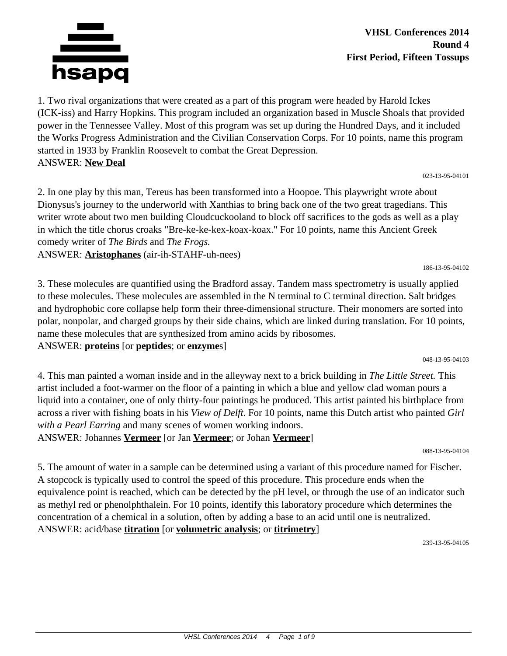

**VHSL Conferences 2014 Round 4 First Period, Fifteen Tossups**

1. Two rival organizations that were created as a part of this program were headed by Harold Ickes (ICK-iss) and Harry Hopkins. This program included an organization based in Muscle Shoals that provided power in the Tennessee Valley. Most of this program was set up during the Hundred Days, and it included the Works Progress Administration and the Civilian Conservation Corps. For 10 points, name this program started in 1933 by Franklin Roosevelt to combat the Great Depression. ANSWER: **New Deal**

023-13-95-04101

186-13-95-04102

2. In one play by this man, Tereus has been transformed into a Hoopoe. This playwright wrote about Dionysus's journey to the underworld with Xanthias to bring back one of the two great tragedians. This writer wrote about two men building Cloudcuckooland to block off sacrifices to the gods as well as a play in which the title chorus croaks "Bre-ke-ke-kex-koax-koax." For 10 points, name this Ancient Greek comedy writer of *The Birds* and *The Frogs.*

ANSWER: **Aristophanes** (air-ih-STAHF-uh-nees)

3. These molecules are quantified using the Bradford assay. Tandem mass spectrometry is usually applied to these molecules. These molecules are assembled in the N terminal to C terminal direction. Salt bridges and hydrophobic core collapse help form their three-dimensional structure. Their monomers are sorted into polar, nonpolar, and charged groups by their side chains, which are linked during translation. For 10 points, name these molecules that are synthesized from amino acids by ribosomes. ANSWER: **proteins** [or **peptides**; or **enzyme**s]

048-13-95-04103

4. This man painted a woman inside and in the alleyway next to a brick building in *The Little Street.* This artist included a foot-warmer on the floor of a painting in which a blue and yellow clad woman pours a liquid into a container, one of only thirty-four paintings he produced. This artist painted his birthplace from across a river with fishing boats in his *View of Delft*. For 10 points, name this Dutch artist who painted *Girl with a Pearl Earring* and many scenes of women working indoors. ANSWER: Johannes **Vermeer** [or Jan **Vermeer**; or Johan **Vermeer**]

088-13-95-04104

5. The amount of water in a sample can be determined using a variant of this procedure named for Fischer. A stopcock is typically used to control the speed of this procedure. This procedure ends when the equivalence point is reached, which can be detected by the pH level, or through the use of an indicator such as methyl red or phenolphthalein. For 10 points, identify this laboratory procedure which determines the concentration of a chemical in a solution, often by adding a base to an acid until one is neutralized. ANSWER: acid/base **titration** [or **volumetric analysis**; or **titrimetry**]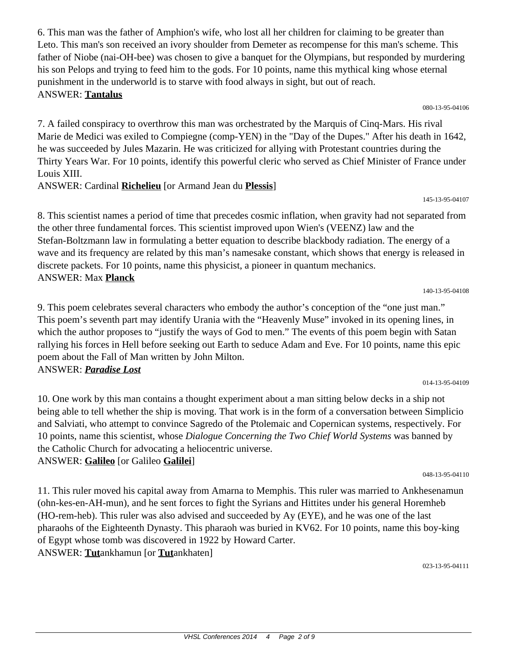6. This man was the father of Amphion's wife, who lost all her children for claiming to be greater than Leto. This man's son received an ivory shoulder from Demeter as recompense for this man's scheme. This father of Niobe (nai-OH-bee) was chosen to give a banquet for the Olympians, but responded by murdering his son Pelops and trying to feed him to the gods. For 10 points, name this mythical king whose eternal punishment in the underworld is to starve with food always in sight, but out of reach. ANSWER: **Tantalus**

080-13-95-04106

145-13-95-04107

140-13-95-04108

7. A failed conspiracy to overthrow this man was orchestrated by the Marquis of Cinq-Mars. His rival Marie de Medici was exiled to Compiegne (comp-YEN) in the "Day of the Dupes." After his death in 1642, he was succeeded by Jules Mazarin. He was criticized for allying with Protestant countries during the Thirty Years War. For 10 points, identify this powerful cleric who served as Chief Minister of France under Louis XIII.

ANSWER: Cardinal **Richelieu** [or Armand Jean du **Plessis**]

8. This scientist names a period of time that precedes cosmic inflation, when gravity had not separated from the other three fundamental forces. This scientist improved upon Wien's (VEENZ) law and the Stefan-Boltzmann law in formulating a better equation to describe blackbody radiation. The energy of a wave and its frequency are related by this man's namesake constant, which shows that energy is released in discrete packets. For 10 points, name this physicist, a pioneer in quantum mechanics. ANSWER: Max **Planck**

9. This poem celebrates several characters who embody the author's conception of the "one just man." This poem's seventh part may identify Urania with the "Heavenly Muse" invoked in its opening lines, in which the author proposes to "justify the ways of God to men." The events of this poem begin with Satan rallying his forces in Hell before seeking out Earth to seduce Adam and Eve. For 10 points, name this epic poem about the Fall of Man written by John Milton. ANSWER: *Paradise Lost*

014-13-95-04109

10. One work by this man contains a thought experiment about a man sitting below decks in a ship not being able to tell whether the ship is moving. That work is in the form of a conversation between Simplicio and Salviati, who attempt to convince Sagredo of the Ptolemaic and Copernican systems, respectively. For 10 points, name this scientist, whose *Dialogue Concerning the Two Chief World Systems* was banned by the Catholic Church for advocating a heliocentric universe. ANSWER: **Galileo** [or Galileo **Galilei**]

048-13-95-04110

11. This ruler moved his capital away from Amarna to Memphis. This ruler was married to Ankhesenamun (ohn-kes-en-AH-mun), and he sent forces to fight the Syrians and Hittites under his general Horemheb (HO-rem-heb). This ruler was also advised and succeeded by Ay (EYE), and he was one of the last pharaohs of the Eighteenth Dynasty. This pharaoh was buried in KV62. For 10 points, name this boy-king of Egypt whose tomb was discovered in 1922 by Howard Carter. ANSWER: **Tut**ankhamun [or **Tut**ankhaten]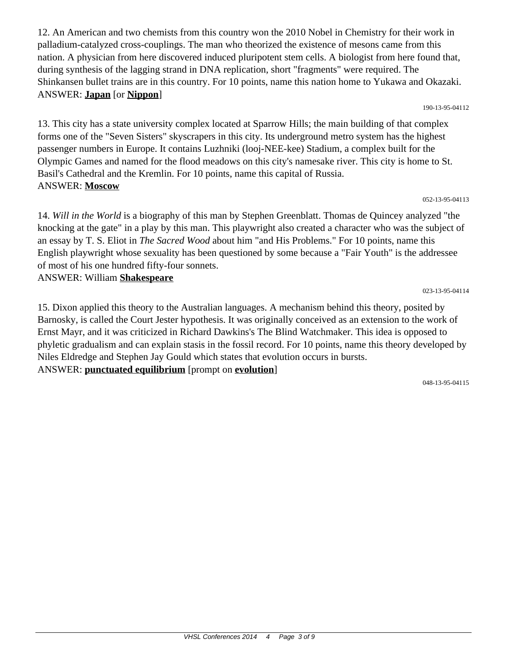12. An American and two chemists from this country won the 2010 Nobel in Chemistry for their work in palladium-catalyzed cross-couplings. The man who theorized the existence of mesons came from this nation. A physician from here discovered induced pluripotent stem cells. A biologist from here found that, during synthesis of the lagging strand in DNA replication, short "fragments" were required. The Shinkansen bullet trains are in this country. For 10 points, name this nation home to Yukawa and Okazaki. ANSWER: **Japan** [or **Nippon**]

190-13-95-04112

13. This city has a state university complex located at Sparrow Hills; the main building of that complex forms one of the "Seven Sisters" skyscrapers in this city. Its underground metro system has the highest passenger numbers in Europe. It contains Luzhniki (looj-NEE-kee) Stadium, a complex built for the Olympic Games and named for the flood meadows on this city's namesake river. This city is home to St. Basil's Cathedral and the Kremlin. For 10 points, name this capital of Russia. ANSWER: **Moscow**

023-13-95-04114

14. *Will in the World* is a biography of this man by Stephen Greenblatt. Thomas de Quincey analyzed "the knocking at the gate" in a play by this man. This playwright also created a character who was the subject of an essay by T. S. Eliot in *The Sacred Wood* about him "and His Problems." For 10 points, name this English playwright whose sexuality has been questioned by some because a "Fair Youth" is the addressee of most of his one hundred fifty-four sonnets.

ANSWER: William **Shakespeare**

15. Dixon applied this theory to the Australian languages. A mechanism behind this theory, posited by Barnosky, is called the Court Jester hypothesis. It was originally conceived as an extension to the work of Ernst Mayr, and it was criticized in Richard Dawkins's The Blind Watchmaker. This idea is opposed to phyletic gradualism and can explain stasis in the fossil record. For 10 points, name this theory developed by Niles Eldredge and Stephen Jay Gould which states that evolution occurs in bursts. ANSWER: **punctuated equilibrium** [prompt on **evolution**]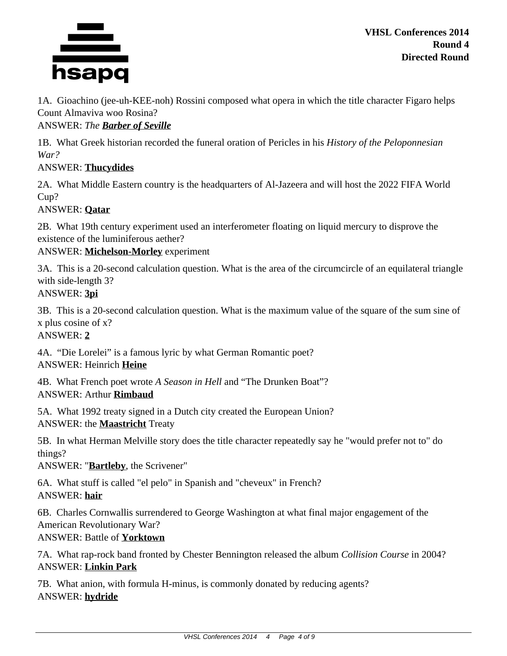

**VHSL Conferences 2014 Round 4 Directed Round**

1A. Gioachino (jee-uh-KEE-noh) Rossini composed what opera in which the title character Figaro helps Count Almaviva woo Rosina?

ANSWER: *The Barber of Seville*

1B. What Greek historian recorded the funeral oration of Pericles in his *History of the Peloponnesian War?*

## ANSWER: **Thucydides**

2A. What Middle Eastern country is the headquarters of Al-Jazeera and will host the 2022 FIFA World Cup?

## ANSWER: **Qatar**

2B. What 19th century experiment used an interferometer floating on liquid mercury to disprove the existence of the luminiferous aether?

ANSWER: **Michelson-Morley** experiment

3A. This is a 20-second calculation question. What is the area of the circumcircle of an equilateral triangle with side-length 3?

ANSWER: **3pi**

3B. This is a 20-second calculation question. What is the maximum value of the square of the sum sine of x plus cosine of x?

ANSWER: **2**

4A. "Die Lorelei" is a famous lyric by what German Romantic poet? ANSWER: Heinrich **Heine**

4B. What French poet wrote *A Season in Hell* and "The Drunken Boat"? ANSWER: Arthur **Rimbaud**

5A. What 1992 treaty signed in a Dutch city created the European Union? ANSWER: the **Maastricht** Treaty

5B. In what Herman Melville story does the title character repeatedly say he "would prefer not to" do things?

ANSWER: "**Bartleby**, the Scrivener"

6A. What stuff is called "el pelo" in Spanish and "cheveux" in French? ANSWER: **hair**

6B. Charles Cornwallis surrendered to George Washington at what final major engagement of the American Revolutionary War?

ANSWER: Battle of **Yorktown**

7A. What rap-rock band fronted by Chester Bennington released the album *Collision Course* in 2004? ANSWER: **Linkin Park**

7B. What anion, with formula H-minus, is commonly donated by reducing agents? ANSWER: **hydride**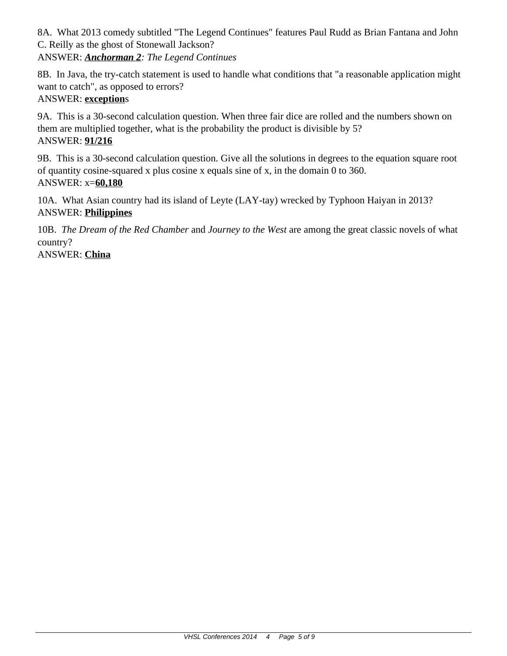8A. What 2013 comedy subtitled "The Legend Continues" features Paul Rudd as Brian Fantana and John C. Reilly as the ghost of Stonewall Jackson? ANSWER: *Anchorman 2: The Legend Continues*

8B. In Java, the try-catch statement is used to handle what conditions that "a reasonable application might want to catch", as opposed to errors?

# ANSWER: **exception**s

9A. This is a 30-second calculation question. When three fair dice are rolled and the numbers shown on them are multiplied together, what is the probability the product is divisible by 5? ANSWER: **91/216**

9B. This is a 30-second calculation question. Give all the solutions in degrees to the equation square root of quantity cosine-squared x plus cosine x equals sine of x, in the domain 0 to 360. ANSWER: x=**60,180**

10A. What Asian country had its island of Leyte (LAY-tay) wrecked by Typhoon Haiyan in 2013? ANSWER: **Philippines**

10B. *The Dream of the Red Chamber* and *Journey to the West* are among the great classic novels of what country?

ANSWER: **China**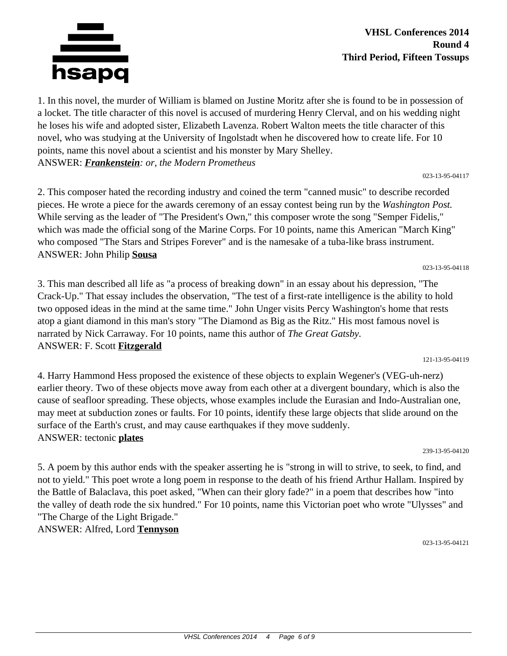

**VHSL Conferences 2014 Round 4 Third Period, Fifteen Tossups**

1. In this novel, the murder of William is blamed on Justine Moritz after she is found to be in possession of a locket. The title character of this novel is accused of murdering Henry Clerval, and on his wedding night he loses his wife and adopted sister, Elizabeth Lavenza. Robert Walton meets the title character of this novel, who was studying at the University of Ingolstadt when he discovered how to create life. For 10 points, name this novel about a scientist and his monster by Mary Shelley. ANSWER: *Frankenstein: or, the Modern Prometheus*

023-13-95-04117

023-13-95-04118

121-13-95-04119

2. This composer hated the recording industry and coined the term "canned music" to describe recorded pieces. He wrote a piece for the awards ceremony of an essay contest being run by the *Washington Post.* While serving as the leader of "The President's Own," this composer wrote the song "Semper Fidelis," which was made the official song of the Marine Corps. For 10 points, name this American "March King" who composed "The Stars and Stripes Forever" and is the namesake of a tuba-like brass instrument. ANSWER: John Philip **Sousa**

3. This man described all life as "a process of breaking down" in an essay about his depression, "The Crack-Up." That essay includes the observation, "The test of a first-rate intelligence is the ability to hold two opposed ideas in the mind at the same time." John Unger visits Percy Washington's home that rests atop a giant diamond in this man's story "The Diamond as Big as the Ritz." His most famous novel is narrated by Nick Carraway. For 10 points, name this author of *The Great Gatsby.* ANSWER: F. Scott **Fitzgerald**

4. Harry Hammond Hess proposed the existence of these objects to explain Wegener's (VEG-uh-nerz) earlier theory. Two of these objects move away from each other at a divergent boundary, which is also the cause of seafloor spreading. These objects, whose examples include the Eurasian and Indo-Australian one, may meet at subduction zones or faults. For 10 points, identify these large objects that slide around on the surface of the Earth's crust, and may cause earthquakes if they move suddenly. ANSWER: tectonic **plates**

239-13-95-04120

5. A poem by this author ends with the speaker asserting he is "strong in will to strive, to seek, to find, and not to yield." This poet wrote a long poem in response to the death of his friend Arthur Hallam. Inspired by the Battle of Balaclava, this poet asked, "When can their glory fade?" in a poem that describes how "into the valley of death rode the six hundred." For 10 points, name this Victorian poet who wrote "Ulysses" and "The Charge of the Light Brigade."

ANSWER: Alfred, Lord **Tennyson**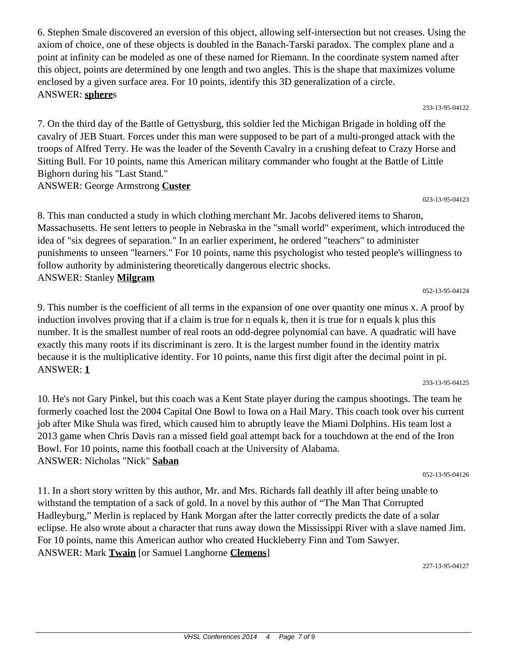10. He's not Gary Pinkel, but this coach was a Kent State player during the campus shootings. The team he formerly coached lost the 2004 Capital One Bowl to Iowa on a Hail Mary. This coach took over his current

job after Mike Shula was fired, which caused him to abruptly leave the Miami Dolphins. His team lost a 2013 game when Chris Davis ran a missed field goal attempt back for a touchdown at the end of the Iron Bowl. For 10 points, name this football coach at the University of Alabama. ANSWER: Nicholas "Nick" **Saban**

11. In a short story written by this author, Mr. and Mrs. Richards fall deathly ill after being unable to withstand the temptation of a sack of gold. In a novel by this author of "The Man That Corrupted Hadleyburg," Merlin is replaced by Hank Morgan after the latter correctly predicts the date of a solar eclipse. He also wrote about a character that runs away down the Mississippi River with a slave named Jim. For 10 points, name this American author who created Huckleberry Finn and Tom Sawyer. ANSWER: Mark **Twain** [or Samuel Langhorne **Clemens**]

227-13-95-04127

6. Stephen Smale discovered an eversion of this object, allowing self-intersection but not creases. Using the axiom of choice, one of these objects is doubled in the Banach-Tarski paradox. The complex plane and a point at infinity can be modeled as one of these named for Riemann. In the coordinate system named after this object, points are determined by one length and two angles. This is the shape that maximizes volume enclosed by a given surface area. For 10 points, identify this 3D generalization of a circle. ANSWER: **sphere**s 233-13-95-04122

7. On the third day of the Battle of Gettysburg, this soldier led the Michigan Brigade in holding off the cavalry of JEB Stuart. Forces under this man were supposed to be part of a multi-pronged attack with the troops of Alfred Terry. He was the leader of the Seventh Cavalry in a crushing defeat to Crazy Horse and Sitting Bull. For 10 points, name this American military commander who fought at the Battle of Little Bighorn during his "Last Stand."

ANSWER: George Armstrong **Custer**

ANSWER: **1**

8. This man conducted a study in which clothing merchant Mr. Jacobs delivered items to Sharon, Massachusetts. He sent letters to people in Nebraska in the "small world" experiment, which introduced the idea of "six degrees of separation." In an earlier experiment, he ordered "teachers" to administer punishments to unseen "learners." For 10 points, name this psychologist who tested people's willingness to follow authority by administering theoretically dangerous electric shocks. ANSWER: Stanley **Milgram**

9. This number is the coefficient of all terms in the expansion of one over quantity one minus x. A proof by

induction involves proving that if a claim is true for n equals k, then it is true for n equals k plus this number. It is the smallest number of real roots an odd-degree polynomial can have. A quadratic will have exactly this many roots if its discriminant is zero. It is the largest number found in the identity matrix because it is the multiplicative identity. For 10 points, name this first digit after the decimal point in pi.

052-13-95-04124

052-13-95-04126

233-13-95-04125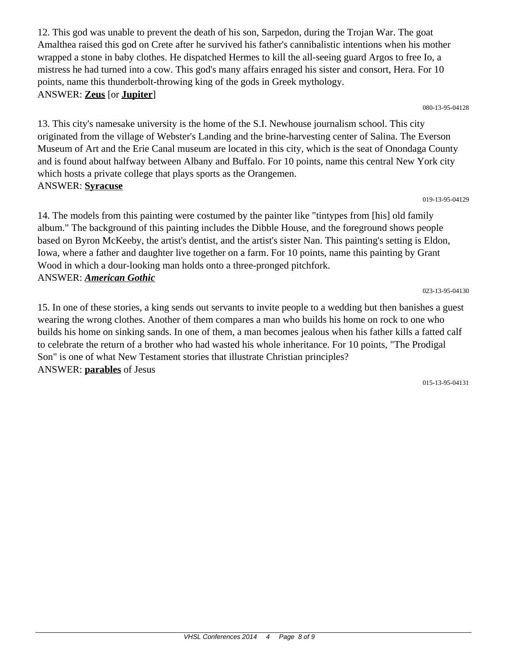12. This god was unable to prevent the death of his son, Sarpedon, during the Trojan War. The goat Amalthea raised this god on Crete after he survived his father's cannibalistic intentions when his mother wrapped a stone in baby clothes. He dispatched Hermes to kill the all-seeing guard Argos to free Io, a mistress he had turned into a cow. This god's many affairs enraged his sister and consort, Hera. For 10 points, name this thunderbolt-throwing king of the gods in Greek mythology. ANSWER: **Zeus** [or **Jupiter**]

080-13-95-04128

13. This city's namesake university is the home of the S.I. Newhouse journalism school. This city originated from the village of Webster's Landing and the brine-harvesting center of Salina. The Everson Museum of Art and the Erie Canal museum are located in this city, which is the seat of Onondaga County and is found about halfway between Albany and Buffalo. For 10 points, name this central New York city which hosts a private college that plays sports as the Orangemen. ANSWER: **Syracuse**

#### 019-13-95-04129

14. The models from this painting were costumed by the painter like "tintypes from [his] old family album." The background of this painting includes the Dibble House, and the foreground shows people based on Byron McKeeby, the artist's dentist, and the artist's sister Nan. This painting's setting is Eldon, Iowa, where a father and daughter live together on a farm. For 10 points, name this painting by Grant Wood in which a dour-looking man holds onto a three-pronged pitchfork. ANSWER: *American Gothic*

15. In one of these stories, a king sends out servants to invite people to a wedding but then banishes a guest wearing the wrong clothes. Another of them compares a man who builds his home on rock to one who builds his home on sinking sands. In one of them, a man becomes jealous when his father kills a fatted calf to celebrate the return of a brother who had wasted his whole inheritance. For 10 points, "The Prodigal Son" is one of what New Testament stories that illustrate Christian principles? ANSWER: **parables** of Jesus

015-13-95-04131